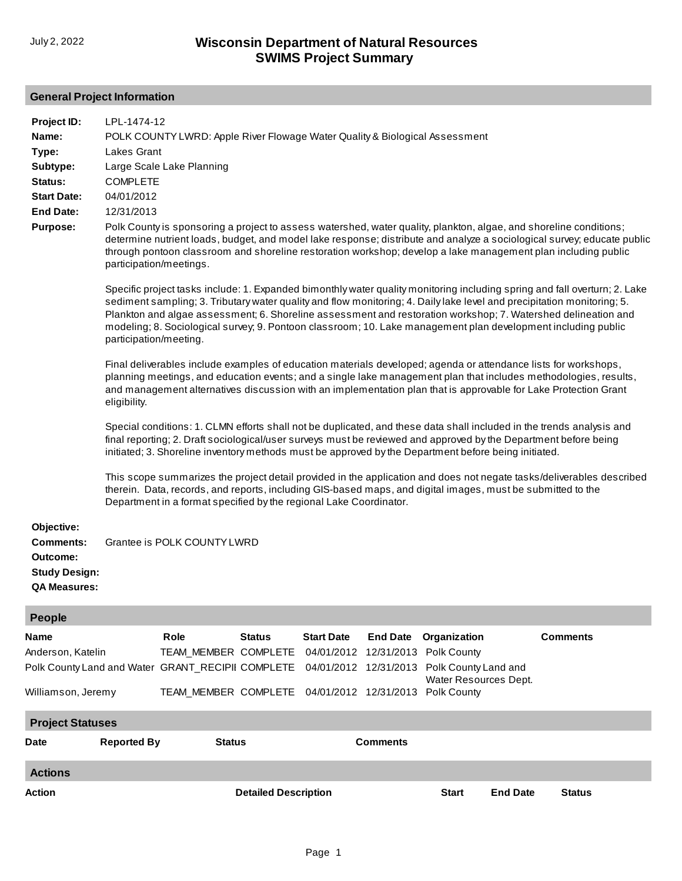# **General Project Information**

| Project ID:          | LPL-1474-12                                                                                                                                                                                                                                                                                                                                                                                                                                                                                                             |                             |                                                   |                       |                       |                                               |                 |                                                                                                                                                                                                                                                                                                                                                           |
|----------------------|-------------------------------------------------------------------------------------------------------------------------------------------------------------------------------------------------------------------------------------------------------------------------------------------------------------------------------------------------------------------------------------------------------------------------------------------------------------------------------------------------------------------------|-----------------------------|---------------------------------------------------|-----------------------|-----------------------|-----------------------------------------------|-----------------|-----------------------------------------------------------------------------------------------------------------------------------------------------------------------------------------------------------------------------------------------------------------------------------------------------------------------------------------------------------|
| Name:                | POLK COUNTY LWRD: Apple River Flowage Water Quality & Biological Assessment                                                                                                                                                                                                                                                                                                                                                                                                                                             |                             |                                                   |                       |                       |                                               |                 |                                                                                                                                                                                                                                                                                                                                                           |
| Type:                | Lakes Grant                                                                                                                                                                                                                                                                                                                                                                                                                                                                                                             |                             |                                                   |                       |                       |                                               |                 |                                                                                                                                                                                                                                                                                                                                                           |
| Subtype:             | Large Scale Lake Planning                                                                                                                                                                                                                                                                                                                                                                                                                                                                                               |                             |                                                   |                       |                       |                                               |                 |                                                                                                                                                                                                                                                                                                                                                           |
| Status:              | <b>COMPLETE</b>                                                                                                                                                                                                                                                                                                                                                                                                                                                                                                         |                             |                                                   |                       |                       |                                               |                 |                                                                                                                                                                                                                                                                                                                                                           |
| <b>Start Date:</b>   | 04/01/2012                                                                                                                                                                                                                                                                                                                                                                                                                                                                                                              |                             |                                                   |                       |                       |                                               |                 |                                                                                                                                                                                                                                                                                                                                                           |
| <b>End Date:</b>     | 12/31/2013                                                                                                                                                                                                                                                                                                                                                                                                                                                                                                              |                             |                                                   |                       |                       |                                               |                 |                                                                                                                                                                                                                                                                                                                                                           |
| <b>Purpose:</b>      | Polk County is sponsoring a project to assess watershed, water quality, plankton, algae, and shoreline conditions;<br>determine nutrient loads, budget, and model lake response; distribute and analyze a sociological survey; educate public<br>through pontoon classroom and shoreline restoration workshop; develop a lake management plan including public<br>participation/meetings.<br>Specific project tasks include: 1. Expanded bimonthly water quality monitoring including spring and fall overturn; 2. Lake |                             |                                                   |                       |                       |                                               |                 |                                                                                                                                                                                                                                                                                                                                                           |
|                      | participation/meeting.                                                                                                                                                                                                                                                                                                                                                                                                                                                                                                  |                             |                                                   |                       |                       |                                               |                 | sediment sampling; 3. Tributary water quality and flow monitoring; 4. Daily lake level and precipitation monitoring; 5.<br>Plankton and algae assessment; 6. Shoreline assessment and restoration workshop; 7. Watershed delineation and<br>modeling; 8. Sociological survey; 9. Pontoon classroom; 10. Lake management plan development including public |
|                      | Final deliverables include examples of education materials developed; agenda or attendance lists for workshops,<br>planning meetings, and education events; and a single lake management plan that includes methodologies, results,<br>and management alternatives discussion with an implementation plan that is approvable for Lake Protection Grant<br>eligibility.                                                                                                                                                  |                             |                                                   |                       |                       |                                               |                 |                                                                                                                                                                                                                                                                                                                                                           |
|                      | Special conditions: 1. CLMN efforts shall not be duplicated, and these data shall included in the trends analysis and<br>final reporting; 2. Draft sociological/user surveys must be reviewed and approved by the Department before being<br>initiated; 3. Shoreline inventory methods must be approved by the Department before being initiated.                                                                                                                                                                       |                             |                                                   |                       |                       |                                               |                 |                                                                                                                                                                                                                                                                                                                                                           |
|                      | This scope summarizes the project detail provided in the application and does not negate tasks/deliverables described<br>therein. Data, records, and reports, including GIS-based maps, and digital images, must be submitted to the<br>Department in a format specified by the regional Lake Coordinator.                                                                                                                                                                                                              |                             |                                                   |                       |                       |                                               |                 |                                                                                                                                                                                                                                                                                                                                                           |
| Objective:           |                                                                                                                                                                                                                                                                                                                                                                                                                                                                                                                         |                             |                                                   |                       |                       |                                               |                 |                                                                                                                                                                                                                                                                                                                                                           |
| <b>Comments:</b>     |                                                                                                                                                                                                                                                                                                                                                                                                                                                                                                                         | Grantee is POLK COUNTY LWRD |                                                   |                       |                       |                                               |                 |                                                                                                                                                                                                                                                                                                                                                           |
| Outcome:             |                                                                                                                                                                                                                                                                                                                                                                                                                                                                                                                         |                             |                                                   |                       |                       |                                               |                 |                                                                                                                                                                                                                                                                                                                                                           |
| <b>Study Design:</b> |                                                                                                                                                                                                                                                                                                                                                                                                                                                                                                                         |                             |                                                   |                       |                       |                                               |                 |                                                                                                                                                                                                                                                                                                                                                           |
| <b>QA Measures:</b>  |                                                                                                                                                                                                                                                                                                                                                                                                                                                                                                                         |                             |                                                   |                       |                       |                                               |                 |                                                                                                                                                                                                                                                                                                                                                           |
|                      |                                                                                                                                                                                                                                                                                                                                                                                                                                                                                                                         |                             |                                                   |                       |                       |                                               |                 |                                                                                                                                                                                                                                                                                                                                                           |
| <b>People</b>        |                                                                                                                                                                                                                                                                                                                                                                                                                                                                                                                         |                             |                                                   |                       |                       |                                               |                 |                                                                                                                                                                                                                                                                                                                                                           |
| Name                 |                                                                                                                                                                                                                                                                                                                                                                                                                                                                                                                         | <b>Role</b>                 | <b>Status</b>                                     | <b>Start Date</b>     | <b>End Date</b>       | Organization                                  |                 | <b>Comments</b>                                                                                                                                                                                                                                                                                                                                           |
| Anderson, Katelin    |                                                                                                                                                                                                                                                                                                                                                                                                                                                                                                                         |                             | TEAM_MEMBER COMPLETE                              |                       | 04/01/2012 12/31/2013 | Polk County                                   |                 |                                                                                                                                                                                                                                                                                                                                                           |
|                      |                                                                                                                                                                                                                                                                                                                                                                                                                                                                                                                         |                             | Polk County Land and Water GRANT_RECIPII COMPLETE |                       | 04/01/2012 12/31/2013 | Polk County Land and<br>Water Resources Dept. |                 |                                                                                                                                                                                                                                                                                                                                                           |
| Williamson, Jeremy   |                                                                                                                                                                                                                                                                                                                                                                                                                                                                                                                         | TEAM_MEMBER COMPLETE        |                                                   | 04/01/2012 12/31/2013 | Polk County           |                                               |                 |                                                                                                                                                                                                                                                                                                                                                           |
|                      | <b>Project Statuses</b>                                                                                                                                                                                                                                                                                                                                                                                                                                                                                                 |                             |                                                   |                       |                       |                                               |                 |                                                                                                                                                                                                                                                                                                                                                           |
| Date                 | <b>Reported By</b>                                                                                                                                                                                                                                                                                                                                                                                                                                                                                                      |                             | <b>Status</b>                                     |                       | <b>Comments</b>       |                                               |                 |                                                                                                                                                                                                                                                                                                                                                           |
| <b>Actions</b>       |                                                                                                                                                                                                                                                                                                                                                                                                                                                                                                                         |                             |                                                   |                       |                       |                                               |                 |                                                                                                                                                                                                                                                                                                                                                           |
| Action               |                                                                                                                                                                                                                                                                                                                                                                                                                                                                                                                         |                             | <b>Detailed Description</b>                       |                       |                       | <b>Start</b>                                  | <b>End Date</b> | <b>Status</b>                                                                                                                                                                                                                                                                                                                                             |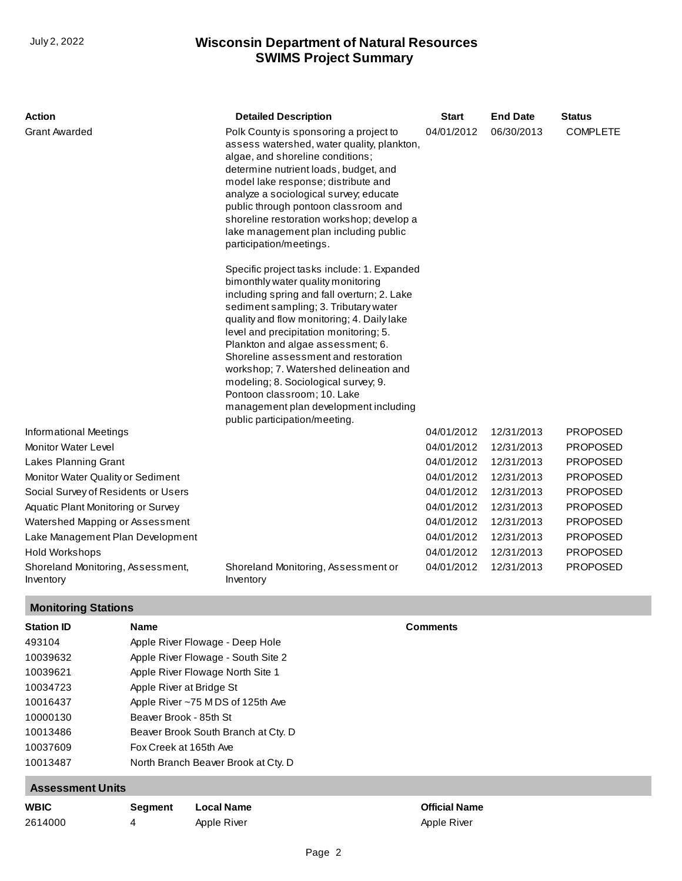| <b>Action</b>                                  | <b>Detailed Description</b>                                                                                                                                                                                                                                                                                                                                                                                                                                                                                                               | <b>Start</b> | <b>End Date</b> | <b>Status</b>   |
|------------------------------------------------|-------------------------------------------------------------------------------------------------------------------------------------------------------------------------------------------------------------------------------------------------------------------------------------------------------------------------------------------------------------------------------------------------------------------------------------------------------------------------------------------------------------------------------------------|--------------|-----------------|-----------------|
| <b>Grant Awarded</b>                           | Polk County is sponsoring a project to<br>assess watershed, water quality, plankton,<br>algae, and shoreline conditions;<br>determine nutrient loads, budget, and<br>model lake response; distribute and<br>analyze a sociological survey; educate<br>public through pontoon classroom and<br>shoreline restoration workshop; develop a<br>lake management plan including public<br>participation/meetings.                                                                                                                               | 04/01/2012   | 06/30/2013      | <b>COMPLETE</b> |
|                                                | Specific project tasks include: 1. Expanded<br>bimonthly water quality monitoring<br>including spring and fall overturn; 2. Lake<br>sediment sampling; 3. Tributary water<br>quality and flow monitoring; 4. Daily lake<br>level and precipitation monitoring; 5.<br>Plankton and algae assessment; 6.<br>Shoreline assessment and restoration<br>workshop; 7. Watershed delineation and<br>modeling; 8. Sociological survey; 9.<br>Pontoon classroom; 10. Lake<br>management plan development including<br>public participation/meeting. |              |                 |                 |
| Informational Meetings                         |                                                                                                                                                                                                                                                                                                                                                                                                                                                                                                                                           | 04/01/2012   | 12/31/2013      | <b>PROPOSED</b> |
| Monitor Water Level                            |                                                                                                                                                                                                                                                                                                                                                                                                                                                                                                                                           | 04/01/2012   | 12/31/2013      | <b>PROPOSED</b> |
| Lakes Planning Grant                           |                                                                                                                                                                                                                                                                                                                                                                                                                                                                                                                                           | 04/01/2012   | 12/31/2013      | <b>PROPOSED</b> |
| Monitor Water Quality or Sediment              |                                                                                                                                                                                                                                                                                                                                                                                                                                                                                                                                           | 04/01/2012   | 12/31/2013      | <b>PROPOSED</b> |
| Social Survey of Residents or Users            |                                                                                                                                                                                                                                                                                                                                                                                                                                                                                                                                           | 04/01/2012   | 12/31/2013      | <b>PROPOSED</b> |
| Aquatic Plant Monitoring or Survey             |                                                                                                                                                                                                                                                                                                                                                                                                                                                                                                                                           | 04/01/2012   | 12/31/2013      | <b>PROPOSED</b> |
| Watershed Mapping or Assessment                |                                                                                                                                                                                                                                                                                                                                                                                                                                                                                                                                           | 04/01/2012   | 12/31/2013      | <b>PROPOSED</b> |
| Lake Management Plan Development               |                                                                                                                                                                                                                                                                                                                                                                                                                                                                                                                                           | 04/01/2012   | 12/31/2013      | <b>PROPOSED</b> |
| Hold Workshops                                 |                                                                                                                                                                                                                                                                                                                                                                                                                                                                                                                                           | 04/01/2012   | 12/31/2013      | <b>PROPOSED</b> |
| Shoreland Monitoring, Assessment,<br>Inventory | Shoreland Monitoring, Assessment or<br>Inventory                                                                                                                                                                                                                                                                                                                                                                                                                                                                                          | 04/01/2012   | 12/31/2013      | <b>PROPOSED</b> |

# **Monitoring Stations**

| <b>Station ID</b> | <b>Name</b>                         | <b>Comments</b> |
|-------------------|-------------------------------------|-----------------|
| 493104            | Apple River Flowage - Deep Hole     |                 |
| 10039632          | Apple River Flowage - South Site 2  |                 |
| 10039621          | Apple River Flowage North Site 1    |                 |
| 10034723          | Apple River at Bridge St            |                 |
| 10016437          | Apple River ~75 MDS of 125th Ave    |                 |
| 10000130          | Beaver Brook - 85th St              |                 |
| 10013486          | Beaver Brook South Branch at Cty. D |                 |
| 10037609          | Fox Creek at 165th Ave              |                 |
| 10013487          | North Branch Beaver Brook at Cty. D |                 |
|                   |                                     |                 |

## **Assessment Units**

| <b>WBIC</b> | Seament | <b>Local Name</b> | <b>Official Name</b> |
|-------------|---------|-------------------|----------------------|
| 2614000     |         | Apple River       | Apple River          |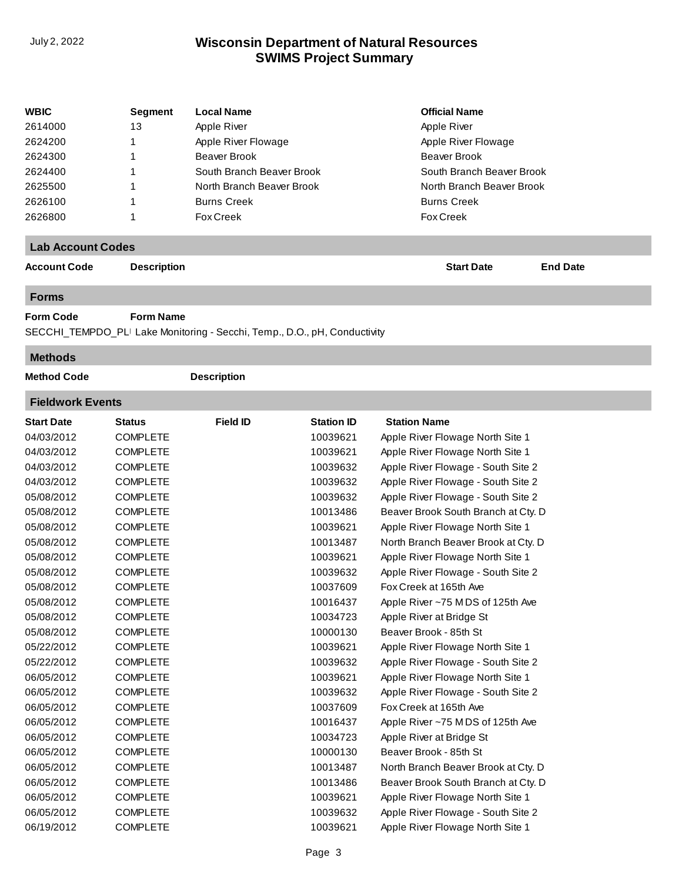| <b>WBIC</b> | <b>Segment</b> | <b>Local Name</b>         | <b>Official Name</b>      |
|-------------|----------------|---------------------------|---------------------------|
| 2614000     | 13             | Apple River               | Apple River               |
| 2624200     |                | Apple River Flowage       | Apple River Flowage       |
| 2624300     |                | Beaver Brook              | Beaver Brook              |
| 2624400     |                | South Branch Beaver Brook | South Branch Beaver Brook |
| 2625500     |                | North Branch Beaver Brook | North Branch Beaver Brook |
| 2626100     |                | <b>Burns Creek</b>        | <b>Burns Creek</b>        |
| 2626800     |                | <b>Fox Creek</b>          | <b>Fox Creek</b>          |

### **Lab Account Codes**

**Account Code Description Start Date End Date**

#### **Forms**

**Form Code Form Name**

SECCHI\_TEMPDO\_PLI Lake Monitoring - Secchi, Temp., D.O., pH, Conductivity

### **Methods**

**Method Code Description** 

## **Fieldwork Events**

| <b>Start Date</b> | <b>Status</b>   | <b>Field ID</b> | <b>Station ID</b> | <b>Station Name</b>                 |
|-------------------|-----------------|-----------------|-------------------|-------------------------------------|
| 04/03/2012        | <b>COMPLETE</b> |                 | 10039621          | Apple River Flowage North Site 1    |
| 04/03/2012        | <b>COMPLETE</b> |                 | 10039621          | Apple River Flowage North Site 1    |
| 04/03/2012        | <b>COMPLETE</b> |                 | 10039632          | Apple River Flowage - South Site 2  |
| 04/03/2012        | <b>COMPLETE</b> |                 | 10039632          | Apple River Flowage - South Site 2  |
| 05/08/2012        | <b>COMPLETE</b> |                 | 10039632          | Apple River Flowage - South Site 2  |
| 05/08/2012        | <b>COMPLETE</b> |                 | 10013486          | Beaver Brook South Branch at Cty. D |
| 05/08/2012        | <b>COMPLETE</b> |                 | 10039621          | Apple River Flowage North Site 1    |
| 05/08/2012        | <b>COMPLETE</b> |                 | 10013487          | North Branch Beaver Brook at Cty. D |
| 05/08/2012        | <b>COMPLETE</b> |                 | 10039621          | Apple River Flowage North Site 1    |
| 05/08/2012        | <b>COMPLETE</b> |                 | 10039632          | Apple River Flowage - South Site 2  |
| 05/08/2012        | <b>COMPLETE</b> |                 | 10037609          | Fox Creek at 165th Ave              |
| 05/08/2012        | <b>COMPLETE</b> |                 | 10016437          | Apple River ~75 MDS of 125th Ave    |
| 05/08/2012        | <b>COMPLETE</b> |                 | 10034723          | Apple River at Bridge St            |
| 05/08/2012        | <b>COMPLETE</b> |                 | 10000130          | Beaver Brook - 85th St              |
| 05/22/2012        | <b>COMPLETE</b> |                 | 10039621          | Apple River Flowage North Site 1    |
| 05/22/2012        | <b>COMPLETE</b> |                 | 10039632          | Apple River Flowage - South Site 2  |
| 06/05/2012        | <b>COMPLETE</b> |                 | 10039621          | Apple River Flowage North Site 1    |
| 06/05/2012        | <b>COMPLETE</b> |                 | 10039632          | Apple River Flowage - South Site 2  |
| 06/05/2012        | <b>COMPLETE</b> |                 | 10037609          | Fox Creek at 165th Ave              |
| 06/05/2012        | <b>COMPLETE</b> |                 | 10016437          | Apple River ~75 MDS of 125th Ave    |
| 06/05/2012        | <b>COMPLETE</b> |                 | 10034723          | Apple River at Bridge St            |
| 06/05/2012        | <b>COMPLETE</b> |                 | 10000130          | Beaver Brook - 85th St              |
| 06/05/2012        | <b>COMPLETE</b> |                 | 10013487          | North Branch Beaver Brook at Cty. D |
| 06/05/2012        | <b>COMPLETE</b> |                 | 10013486          | Beaver Brook South Branch at Cty. D |
| 06/05/2012        | <b>COMPLETE</b> |                 | 10039621          | Apple River Flowage North Site 1    |
| 06/05/2012        | <b>COMPLETE</b> |                 | 10039632          | Apple River Flowage - South Site 2  |
| 06/19/2012        | <b>COMPLETE</b> |                 | 10039621          | Apple River Flowage North Site 1    |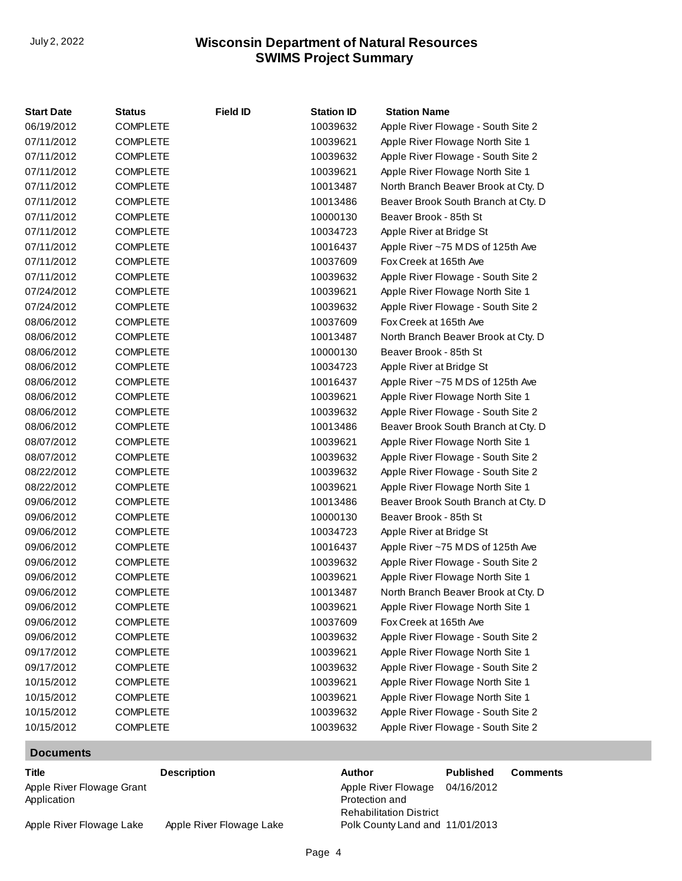| <b>Start Date</b> | Status          | <b>Field ID</b> | <b>Station ID</b> | <b>Station Name</b>                 |
|-------------------|-----------------|-----------------|-------------------|-------------------------------------|
| 06/19/2012        | <b>COMPLETE</b> |                 | 10039632          | Apple River Flowage - South Site 2  |
| 07/11/2012        | <b>COMPLETE</b> |                 | 10039621          | Apple River Flowage North Site 1    |
| 07/11/2012        | <b>COMPLETE</b> |                 | 10039632          | Apple River Flowage - South Site 2  |
| 07/11/2012        | <b>COMPLETE</b> |                 | 10039621          | Apple River Flowage North Site 1    |
| 07/11/2012        | <b>COMPLETE</b> |                 | 10013487          | North Branch Beaver Brook at Cty. D |
| 07/11/2012        | <b>COMPLETE</b> |                 | 10013486          | Beaver Brook South Branch at Cty. D |
| 07/11/2012        | <b>COMPLETE</b> |                 | 10000130          | Beaver Brook - 85th St              |
| 07/11/2012        | <b>COMPLETE</b> |                 | 10034723          | Apple River at Bridge St            |
| 07/11/2012        | <b>COMPLETE</b> |                 | 10016437          | Apple River ~75 MDS of 125th Ave    |
| 07/11/2012        | <b>COMPLETE</b> |                 | 10037609          | Fox Creek at 165th Ave              |
| 07/11/2012        | <b>COMPLETE</b> |                 | 10039632          | Apple River Flowage - South Site 2  |
| 07/24/2012        | <b>COMPLETE</b> |                 | 10039621          | Apple River Flowage North Site 1    |
| 07/24/2012        | <b>COMPLETE</b> |                 | 10039632          | Apple River Flowage - South Site 2  |
| 08/06/2012        | <b>COMPLETE</b> |                 | 10037609          | Fox Creek at 165th Ave              |
| 08/06/2012        | <b>COMPLETE</b> |                 | 10013487          | North Branch Beaver Brook at Cty. D |
| 08/06/2012        | <b>COMPLETE</b> |                 | 10000130          | Beaver Brook - 85th St              |
| 08/06/2012        | <b>COMPLETE</b> |                 | 10034723          | Apple River at Bridge St            |
| 08/06/2012        | <b>COMPLETE</b> |                 | 10016437          | Apple River ~75 MDS of 125th Ave    |
| 08/06/2012        | <b>COMPLETE</b> |                 | 10039621          | Apple River Flowage North Site 1    |
| 08/06/2012        | <b>COMPLETE</b> |                 | 10039632          | Apple River Flowage - South Site 2  |
| 08/06/2012        | <b>COMPLETE</b> |                 | 10013486          | Beaver Brook South Branch at Cty. D |
| 08/07/2012        | <b>COMPLETE</b> |                 | 10039621          | Apple River Flowage North Site 1    |
| 08/07/2012        | <b>COMPLETE</b> |                 | 10039632          | Apple River Flowage - South Site 2  |
| 08/22/2012        | <b>COMPLETE</b> |                 | 10039632          | Apple River Flowage - South Site 2  |
| 08/22/2012        | <b>COMPLETE</b> |                 | 10039621          | Apple River Flowage North Site 1    |
| 09/06/2012        | <b>COMPLETE</b> |                 | 10013486          | Beaver Brook South Branch at Cty. D |
| 09/06/2012        | <b>COMPLETE</b> |                 | 10000130          | Beaver Brook - 85th St              |
| 09/06/2012        | <b>COMPLETE</b> |                 | 10034723          | Apple River at Bridge St            |
| 09/06/2012        | <b>COMPLETE</b> |                 | 10016437          | Apple River ~75 MDS of 125th Ave    |
| 09/06/2012        | COMPLETE        |                 | 10039632          | Apple River Flowage - South Site 2  |
| 09/06/2012        | <b>COMPLETE</b> |                 | 10039621          | Apple River Flowage North Site 1    |
| 09/06/2012        | <b>COMPLETE</b> |                 | 10013487          | North Branch Beaver Brook at Cty. D |
| 09/06/2012        | <b>COMPLETE</b> |                 | 10039621          | Apple River Flowage North Site 1    |
| 09/06/2012        | <b>COMPLETE</b> |                 | 10037609          | Fox Creek at 165th Ave              |
| 09/06/2012        | <b>COMPLETE</b> |                 | 10039632          | Apple River Flowage - South Site 2  |
| 09/17/2012        | <b>COMPLETE</b> |                 | 10039621          | Apple River Flowage North Site 1    |
| 09/17/2012        | <b>COMPLETE</b> |                 | 10039632          | Apple River Flowage - South Site 2  |
| 10/15/2012        | COMPLETE        |                 | 10039621          | Apple River Flowage North Site 1    |
| 10/15/2012        | <b>COMPLETE</b> |                 | 10039621          | Apple River Flowage North Site 1    |
| 10/15/2012        | <b>COMPLETE</b> |                 | 10039632          | Apple River Flowage - South Site 2  |
| 10/15/2012        | <b>COMPLETE</b> |                 | 10039632          | Apple River Flowage - South Site 2  |

## **Documents**

[Apple River Flowage Grant](http://prodoasint.dnr.wi.gov/swims/downloadDocument.do?id=101987583)  Application

**Title Description Author Published Comments** Apple River Flowage 04/16/2012 Protection and Rehabilitation District Polk County Land and 11/01/2013

Apple River Flowage Lake Apple River Flowage Lake